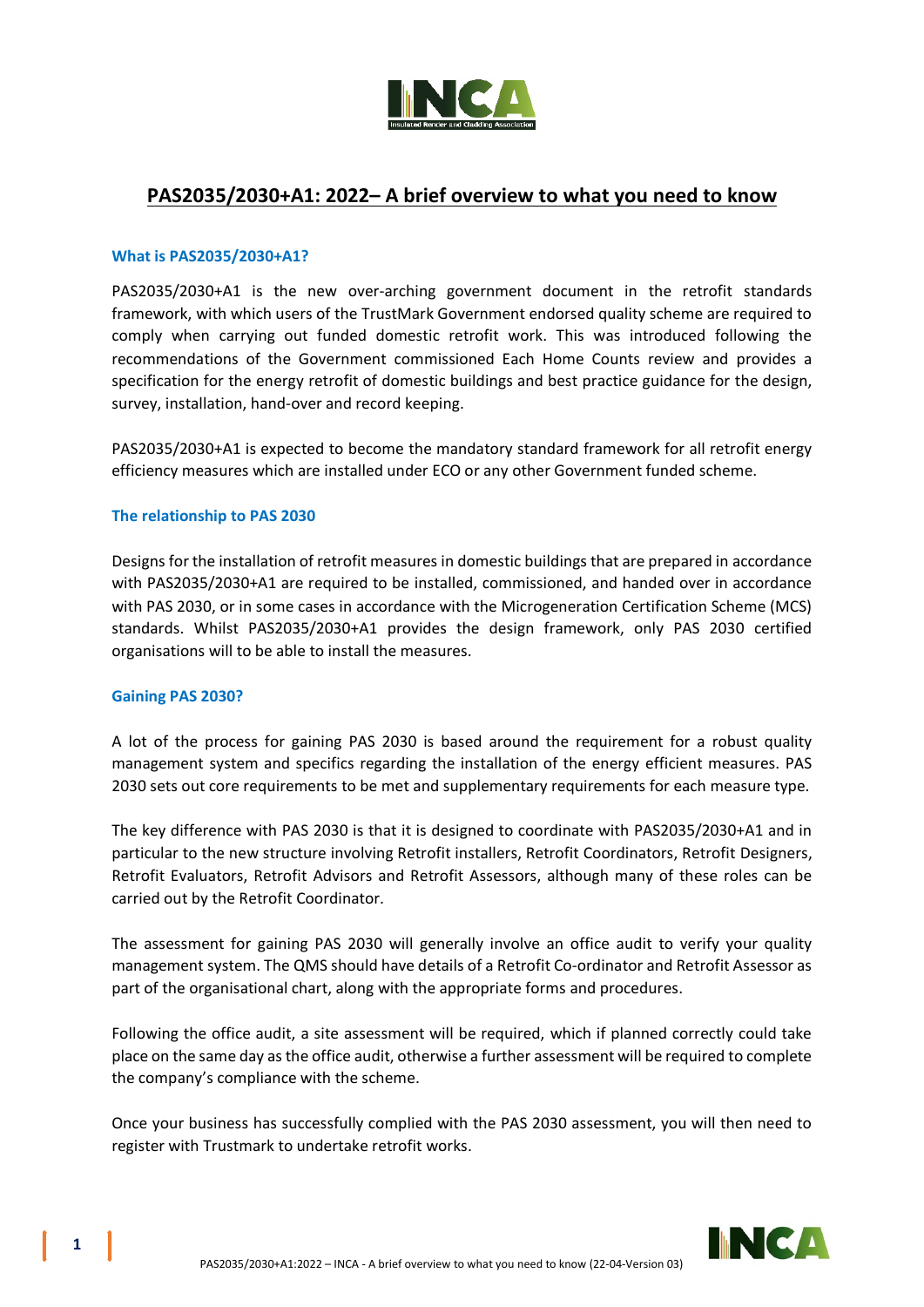

# **PAS2035/2030+A1: 2022– A brief overview to what you need to know**

## **What is PAS2035/2030+A1?**

PAS2035/2030+A1 is the new over-arching government document in the retrofit standards framework, with which users of the TrustMark Government endorsed quality scheme are required to comply when carrying out funded domestic retrofit work. This was introduced following the recommendations of the Government commissioned Each Home Counts review and provides a specification for the energy retrofit of domestic buildings and best practice guidance for the design, survey, installation, hand-over and record keeping.

PAS2035/2030+A1 is expected to become the mandatory standard framework for all retrofit energy efficiency measures which are installed under ECO or any other Government funded scheme.

## **The relationship to PAS 2030**

Designs for the installation of retrofit measures in domestic buildings that are prepared in accordance with PAS2035/2030+A1 are required to be installed, commissioned, and handed over in accordance with PAS 2030, or in some cases in accordance with the Microgeneration Certification Scheme (MCS) standards. Whilst PAS2035/2030+A1 provides the design framework, only PAS 2030 certified organisations will to be able to install the measures.

# **Gaining PAS 2030?**

A lot of the process for gaining PAS 2030 is based around the requirement for a robust quality management system and specifics regarding the installation of the energy efficient measures. PAS 2030 sets out core requirements to be met and supplementary requirements for each measure type.

The key difference with PAS 2030 is that it is designed to coordinate with PAS2035/2030+A1 and in particular to the new structure involving Retrofit installers, Retrofit Coordinators, Retrofit Designers, Retrofit Evaluators, Retrofit Advisors and Retrofit Assessors, although many of these roles can be carried out by the Retrofit Coordinator.

The assessment for gaining PAS 2030 will generally involve an office audit to verify your quality management system. The QMS should have details of a Retrofit Co-ordinator and Retrofit Assessor as part of the organisational chart, along with the appropriate forms and procedures.

Following the office audit, a site assessment will be required, which if planned correctly could take place on the same day as the office audit, otherwise a further assessment will be required to complete the company's compliance with the scheme.

Once your business has successfully complied with the PAS 2030 assessment, you will then need to register with Trustmark to undertake retrofit works.

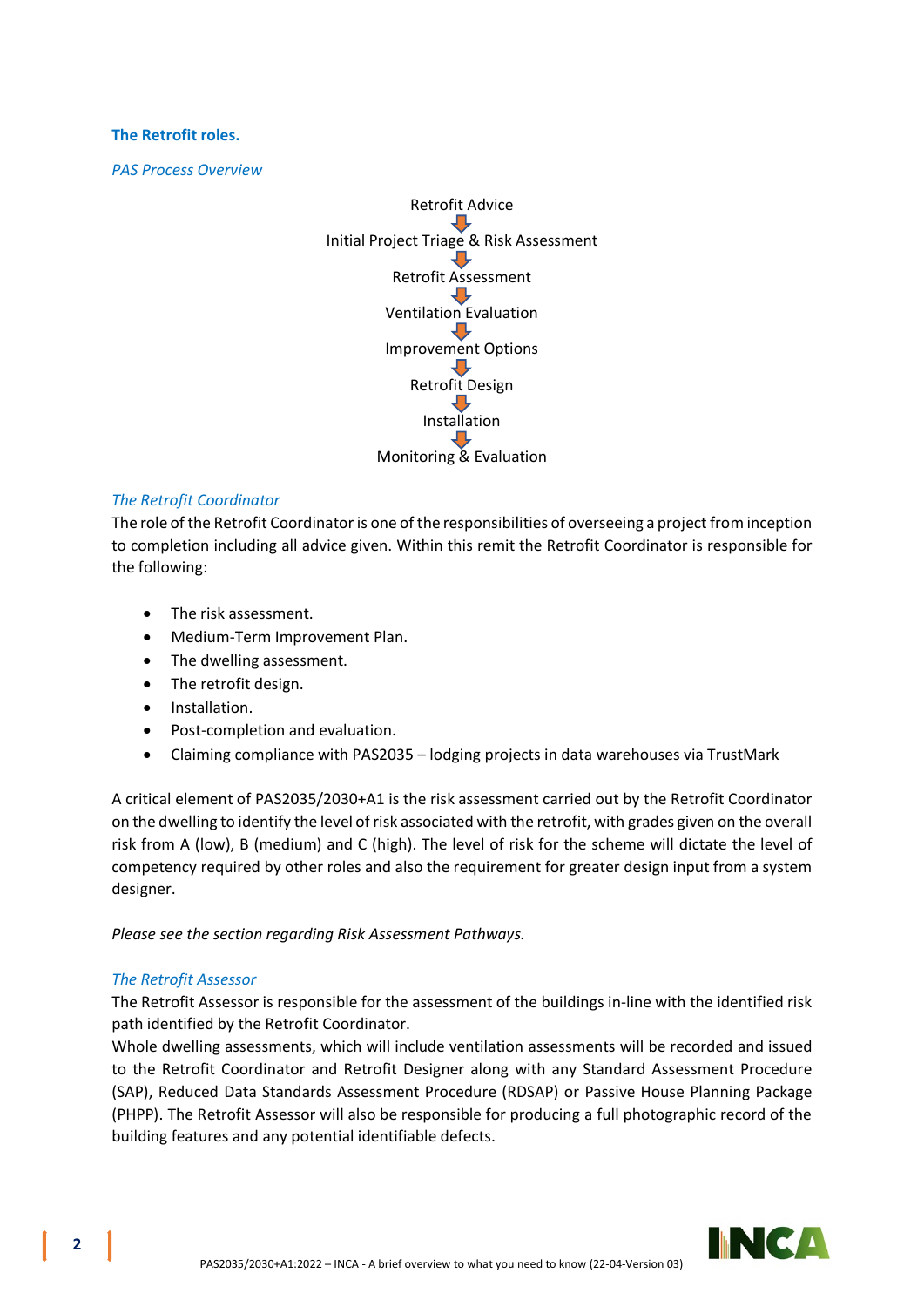## **The Retrofit roles.**

*PAS Process Overview*



# *The Retrofit Coordinator*

The role of the Retrofit Coordinator is one of the responsibilities of overseeing a project from inception to completion including all advice given. Within this remit the Retrofit Coordinator is responsible for the following:

- The risk assessment.
- Medium-Term Improvement Plan.
- The dwelling assessment.
- The retrofit design.
- Installation.
- Post-completion and evaluation.
- Claiming compliance with PAS2035 lodging projects in data warehouses via TrustMark

A critical element of PAS2035/2030+A1 is the risk assessment carried out by the Retrofit Coordinator on the dwelling to identify the level of risk associated with the retrofit, with grades given on the overall risk from A (low), B (medium) and C (high). The level of risk for the scheme will dictate the level of competency required by other roles and also the requirement for greater design input from a system designer.

*Please see the section regarding Risk Assessment Pathways.*

# *The Retrofit Assessor*

The Retrofit Assessor is responsible for the assessment of the buildings in-line with the identified risk path identified by the Retrofit Coordinator.

Whole dwelling assessments, which will include ventilation assessments will be recorded and issued to the Retrofit Coordinator and Retrofit Designer along with any Standard Assessment Procedure (SAP), Reduced Data Standards Assessment Procedure (RDSAP) or Passive House Planning Package (PHPP). The Retrofit Assessor will also be responsible for producing a full photographic record of the building features and any potential identifiable defects.

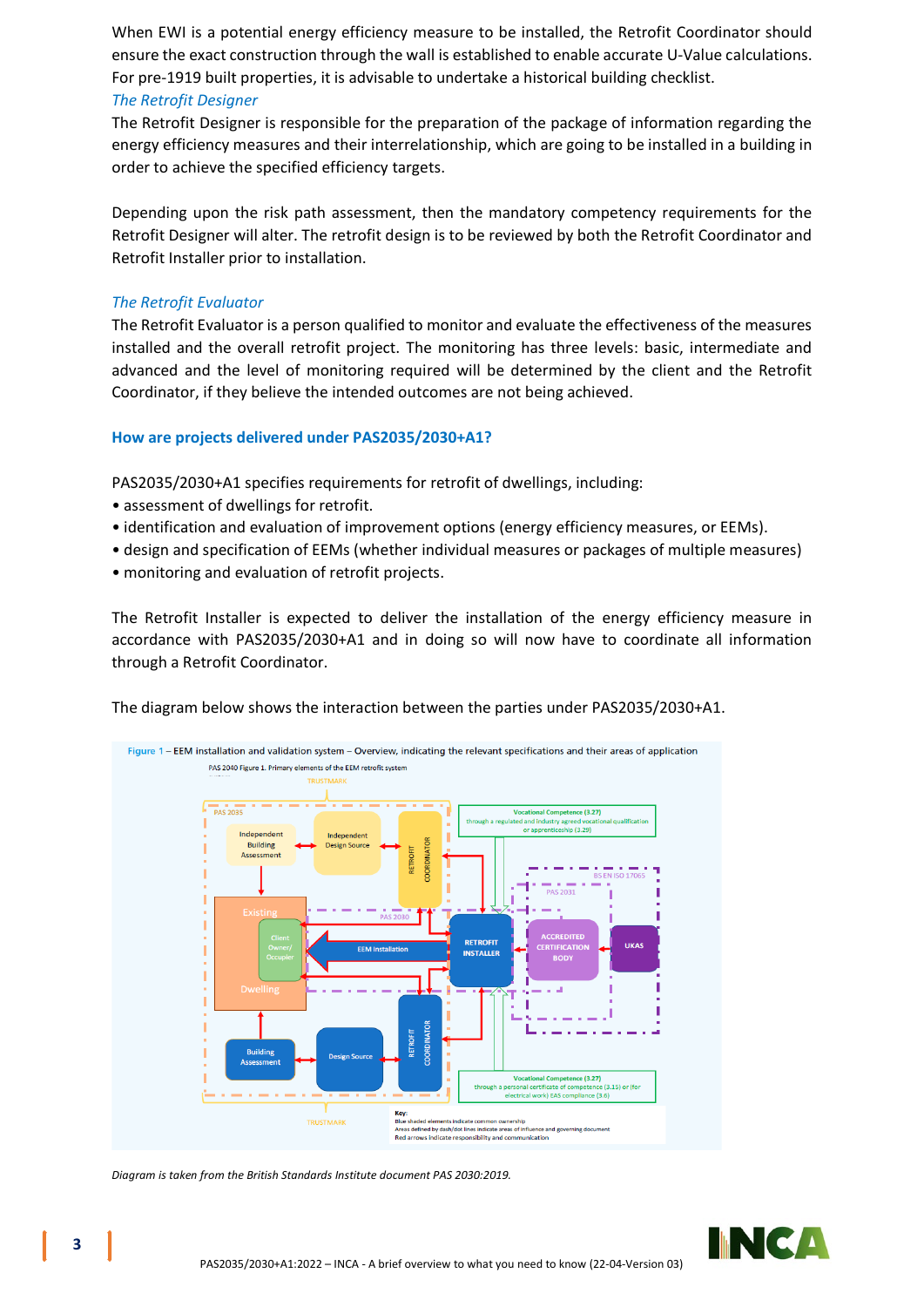When EWI is a potential energy efficiency measure to be installed, the Retrofit Coordinator should ensure the exact construction through the wall is established to enable accurate U-Value calculations. For pre-1919 built properties, it is advisable to undertake a historical building checklist.

# *The Retrofit Designer*

The Retrofit Designer is responsible for the preparation of the package of information regarding the energy efficiency measures and their interrelationship, which are going to be installed in a building in order to achieve the specified efficiency targets.

Depending upon the risk path assessment, then the mandatory competency requirements for the Retrofit Designer will alter. The retrofit design is to be reviewed by both the Retrofit Coordinator and Retrofit Installer prior to installation.

## *The Retrofit Evaluator*

The Retrofit Evaluator is a person qualified to monitor and evaluate the effectiveness of the measures installed and the overall retrofit project. The monitoring has three levels: basic, intermediate and advanced and the level of monitoring required will be determined by the client and the Retrofit Coordinator, if they believe the intended outcomes are not being achieved.

## **How are projects delivered under PAS2035/2030+A1?**

PAS2035/2030+A1 specifies requirements for retrofit of dwellings, including:

- assessment of dwellings for retrofit.
- identification and evaluation of improvement options (energy efficiency measures, or EEMs).
- design and specification of EEMs (whether individual measures or packages of multiple measures)
- monitoring and evaluation of retrofit projects.

The Retrofit Installer is expected to deliver the installation of the energy efficiency measure in accordance with PAS2035/2030+A1 and in doing so will now have to coordinate all information through a Retrofit Coordinator.

The diagram below shows the interaction between the parties under PAS2035/2030+A1.



*Diagram is taken from the British Standards Institute document PAS 2030:2019.*

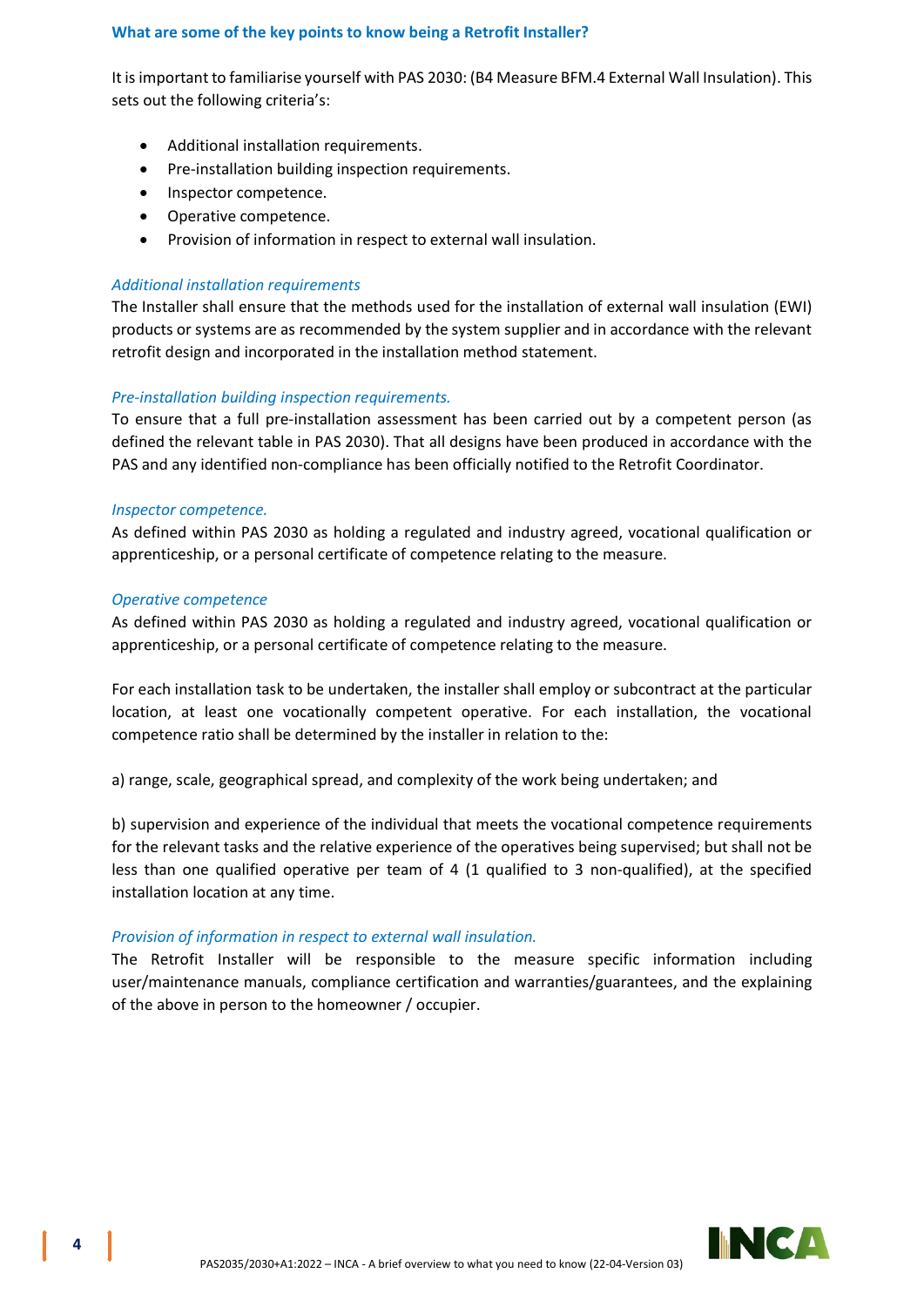# **What are some of the key points to know being a Retrofit Installer?**

It is important to familiarise yourself with PAS 2030: (B4 Measure BFM.4 External Wall Insulation). This sets out the following criteria's:

- Additional installation requirements.
- Pre-installation building inspection requirements.
- Inspector competence.
- Operative competence.
- Provision of information in respect to external wall insulation.

# *Additional installation requirements*

The Installer shall ensure that the methods used for the installation of external wall insulation (EWI) products or systems are as recommended by the system supplier and in accordance with the relevant retrofit design and incorporated in the installation method statement.

# *Pre-installation building inspection requirements.*

To ensure that a full pre-installation assessment has been carried out by a competent person (as defined the relevant table in PAS 2030). That all designs have been produced in accordance with the PAS and any identified non-compliance has been officially notified to the Retrofit Coordinator.

# *Inspector competence.*

As defined within PAS 2030 as holding a regulated and industry agreed, vocational qualification or apprenticeship, or a personal certificate of competence relating to the measure.

## *Operative competence*

As defined within PAS 2030 as holding a regulated and industry agreed, vocational qualification or apprenticeship, or a personal certificate of competence relating to the measure.

For each installation task to be undertaken, the installer shall employ or subcontract at the particular location, at least one vocationally competent operative. For each installation, the vocational competence ratio shall be determined by the installer in relation to the:

a) range, scale, geographical spread, and complexity of the work being undertaken; and

b) supervision and experience of the individual that meets the vocational competence requirements for the relevant tasks and the relative experience of the operatives being supervised; but shall not be less than one qualified operative per team of 4 (1 qualified to 3 non-qualified), at the specified installation location at any time.

# *Provision of information in respect to external wall insulation.*

The Retrofit Installer will be responsible to the measure specific information including user/maintenance manuals, compliance certification and warranties/guarantees, and the explaining of the above in person to the homeowner / occupier.

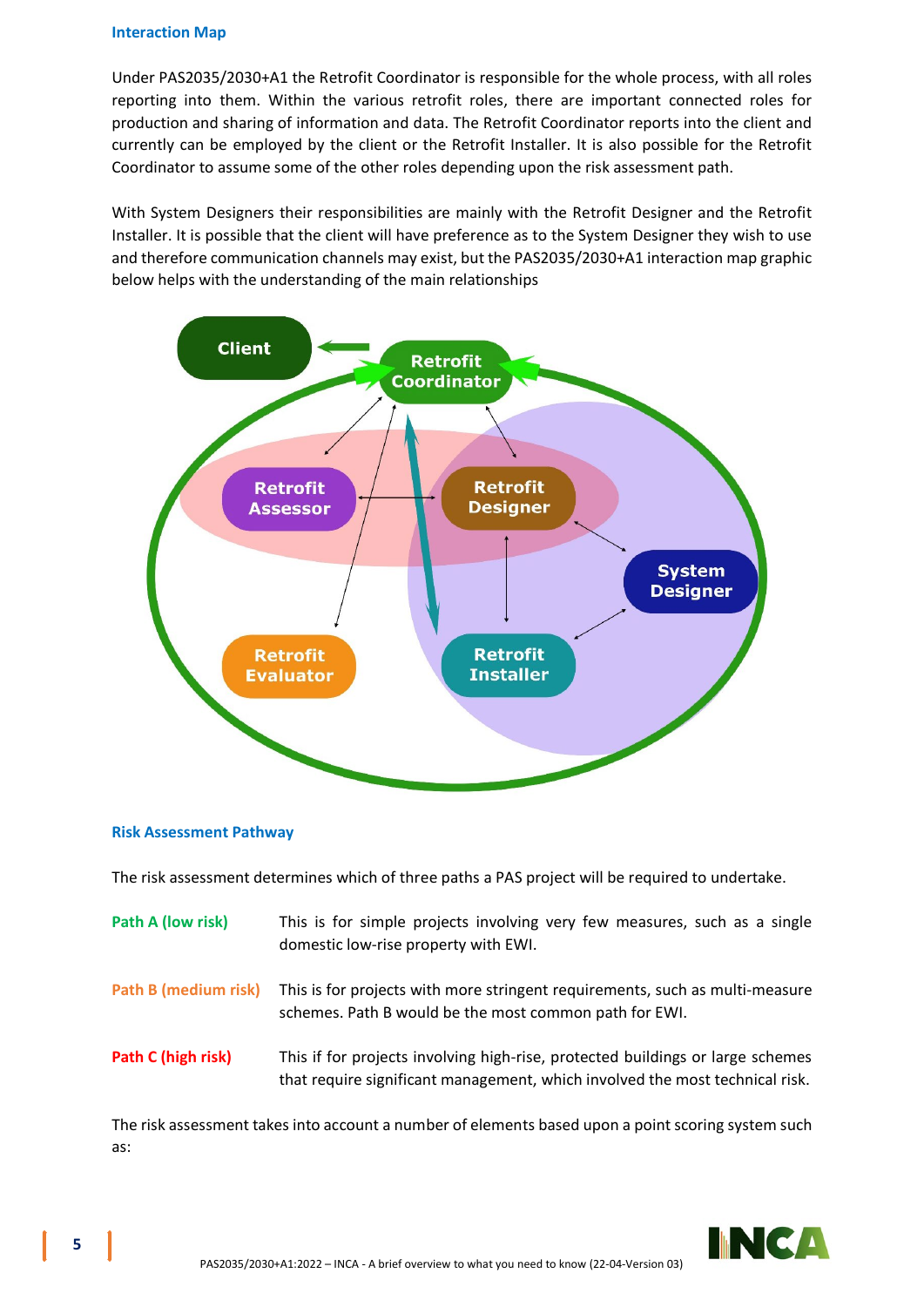#### **Interaction Map**

Under PAS2035/2030+A1 the Retrofit Coordinator is responsible for the whole process, with all roles reporting into them. Within the various retrofit roles, there are important connected roles for production and sharing of information and data. The Retrofit Coordinator reports into the client and currently can be employed by the client or the Retrofit Installer. It is also possible for the Retrofit Coordinator to assume some of the other roles depending upon the risk assessment path.

With System Designers their responsibilities are mainly with the Retrofit Designer and the Retrofit Installer. It is possible that the client will have preference as to the System Designer they wish to use and therefore communication channels may exist, but the PAS2035/2030+A1 interaction map graphic below helps with the understanding of the main relationships



## **Risk Assessment Pathway**

The risk assessment determines which of three paths a PAS project will be required to undertake.

| Path A (low risk)    | This is for simple projects involving very few measures, such as a single<br>domestic low-rise property with EWI.                                              |
|----------------------|----------------------------------------------------------------------------------------------------------------------------------------------------------------|
| Path B (medium risk) | This is for projects with more stringent requirements, such as multi-measure<br>schemes. Path B would be the most common path for EWI.                         |
| Path C (high risk)   | This if for projects involving high-rise, protected buildings or large schemes<br>that require significant management, which involved the most technical risk. |

The risk assessment takes into account a number of elements based upon a point scoring system such as:

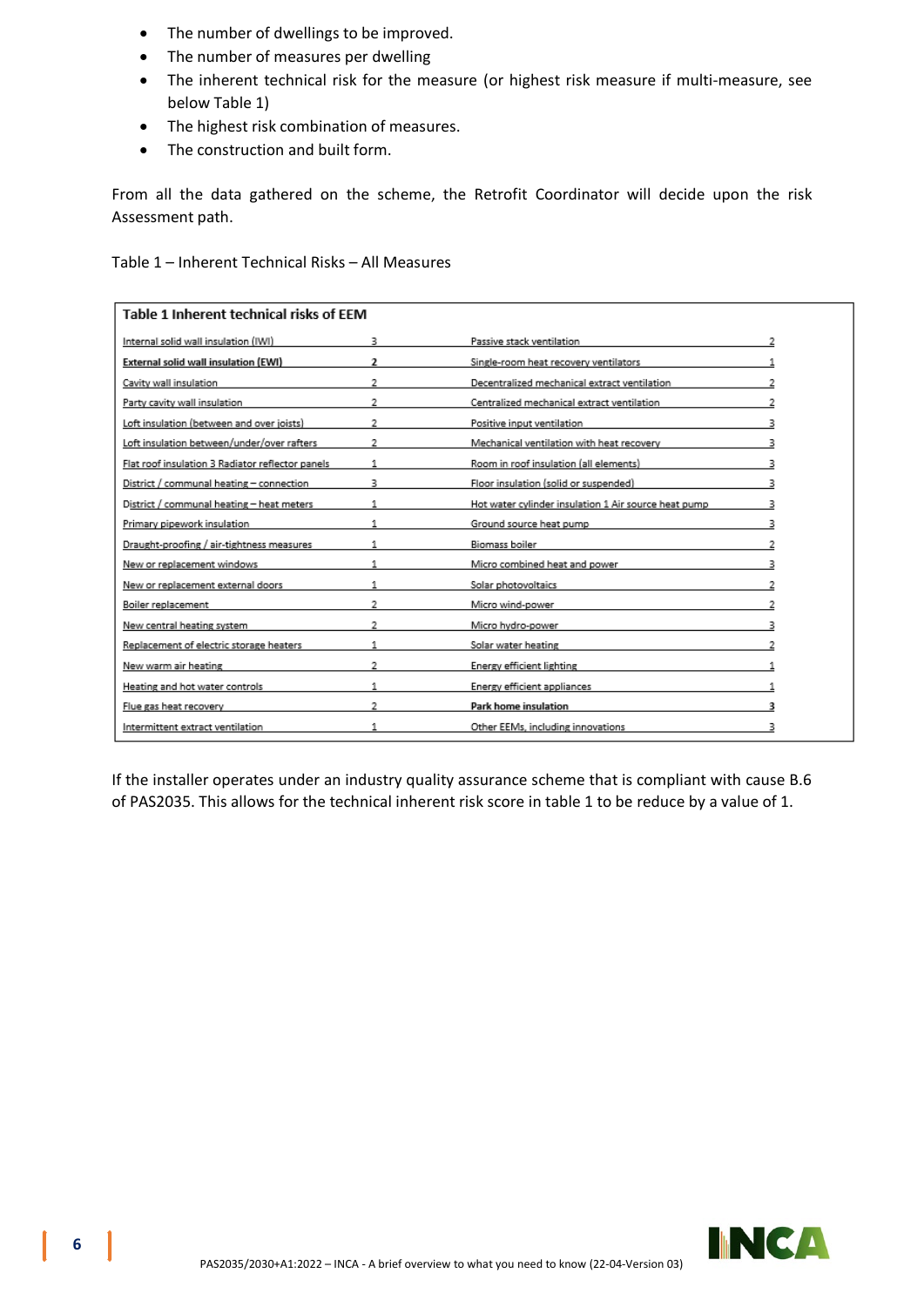- The number of dwellings to be improved.
- The number of measures per dwelling
- The inherent technical risk for the measure (or highest risk measure if multi-measure, see below Table 1)
- The highest risk combination of measures.
- The construction and built form.

From all the data gathered on the scheme, the Retrofit Coordinator will decide upon the risk Assessment path.

Table 1 – Inherent Technical Risks – All Measures

| Table 1 Inherent technical risks of FFM          |                |                                                      |  |  |
|--------------------------------------------------|----------------|------------------------------------------------------|--|--|
| Internal solid wall insulation (IWI)             | з              | Passive stack ventilation                            |  |  |
| External solid wall insulation (EWI)             | $\overline{2}$ | Single-room heat recovery ventilators                |  |  |
| Cavity wall insulation                           | $\overline{2}$ | Decentralized mechanical extract ventilation         |  |  |
| Party cavity wall insulation                     |                | Centralized mechanical extract ventilation           |  |  |
| Loft insulation (between and over joists)        | 2              | Positive input ventilation                           |  |  |
| Loft insulation between/under/over rafters       | 2              | Mechanical ventilation with heat recovery            |  |  |
| Flat roof insulation 3 Radiator reflector panels |                | Room in roof insulation (all elements)               |  |  |
| District / communal heating - connection         |                | Floor insulation (solid or suspended)                |  |  |
| District / communal heating - heat meters        |                | Hot water cylinder insulation 1 Air source heat pump |  |  |
| Primary pipework insulation                      |                | Ground source heat pump                              |  |  |
| Draught-proofing / air-tightness measures        |                | Biomass boiler                                       |  |  |
| New or replacement windows                       | 1.             | Micro combined heat and power                        |  |  |
| New or replacement external doors                |                | Solar photovoltaics                                  |  |  |
| Boiler replacement                               | 2              | Micro wind-power                                     |  |  |
| New central heating system                       | 2              | Micro hydro-power                                    |  |  |
| Replacement of electric storage heaters          |                | Solar water heating                                  |  |  |
| New warm air heating                             | 2              | Energy efficient lighting                            |  |  |
| Heating and hot water controls                   | 1              | Energy efficient appliances                          |  |  |
| Flue gas heat recovery                           | 2              | Park home insulation                                 |  |  |
| Intermittent extract ventilation                 |                | Other EEMs, including innovations                    |  |  |

If the installer operates under an industry quality assurance scheme that is compliant with cause B.6 of PAS2035. This allows for the technical inherent risk score in table 1 to be reduce by a value of 1.

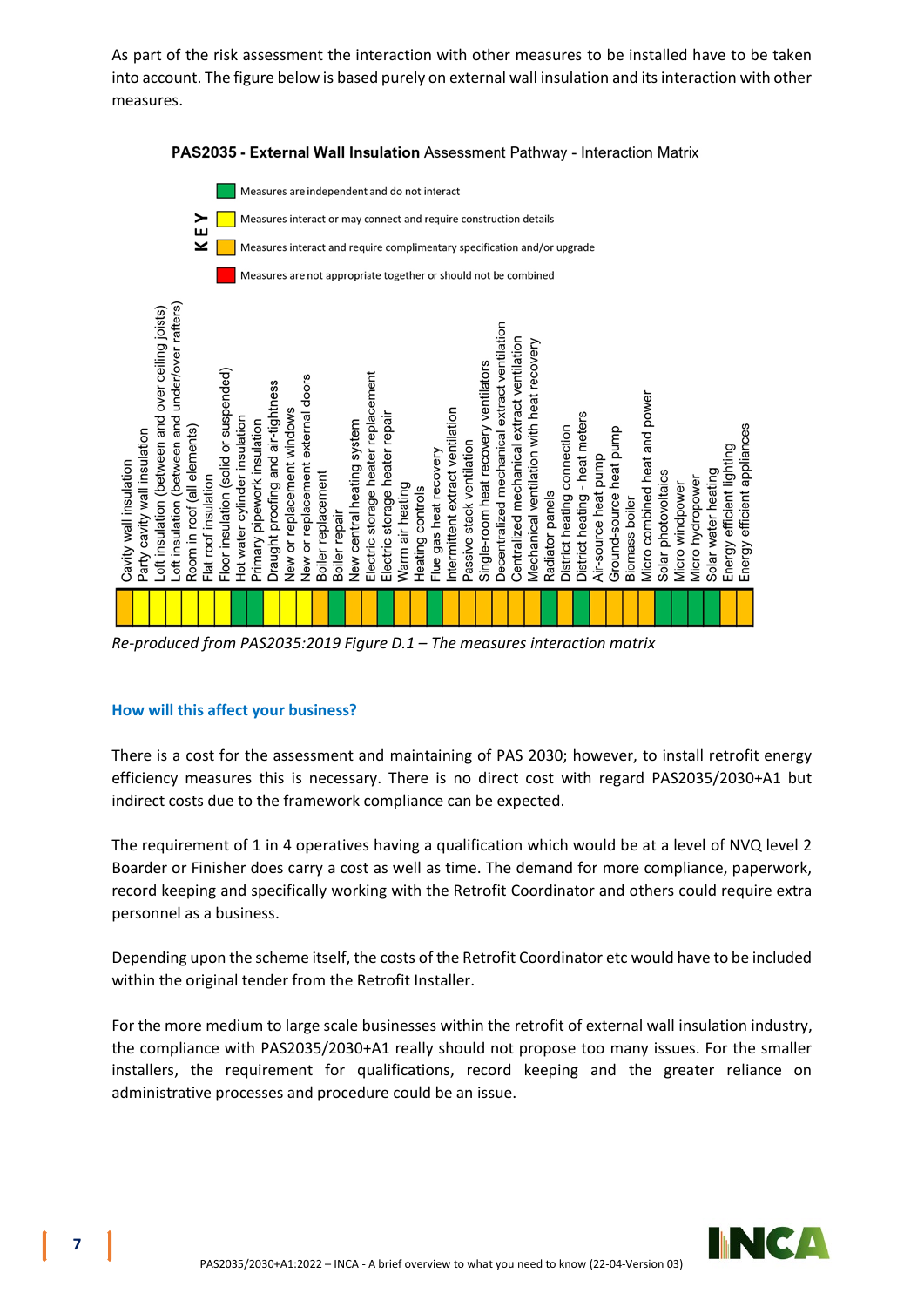As part of the risk assessment the interaction with other measures to be installed have to be taken into account. The figure below is based purely on external wall insulation and its interaction with other measures.



# PAS2035 - External Wall Insulation Assessment Pathway - Interaction Matrix

**How will this affect your business?**

There is a cost for the assessment and maintaining of PAS 2030; however, to install retrofit energy efficiency measures this is necessary. There is no direct cost with regard PAS2035/2030+A1 but indirect costs due to the framework compliance can be expected.

The requirement of 1 in 4 operatives having a qualification which would be at a level of NVQ level 2 Boarder or Finisher does carry a cost as well as time. The demand for more compliance, paperwork, record keeping and specifically working with the Retrofit Coordinator and others could require extra personnel as a business.

Depending upon the scheme itself, the costs of the Retrofit Coordinator etc would have to be included within the original tender from the Retrofit Installer.

For the more medium to large scale businesses within the retrofit of external wall insulation industry, the compliance with PAS2035/2030+A1 really should not propose too many issues. For the smaller installers, the requirement for qualifications, record keeping and the greater reliance on administrative processes and procedure could be an issue.

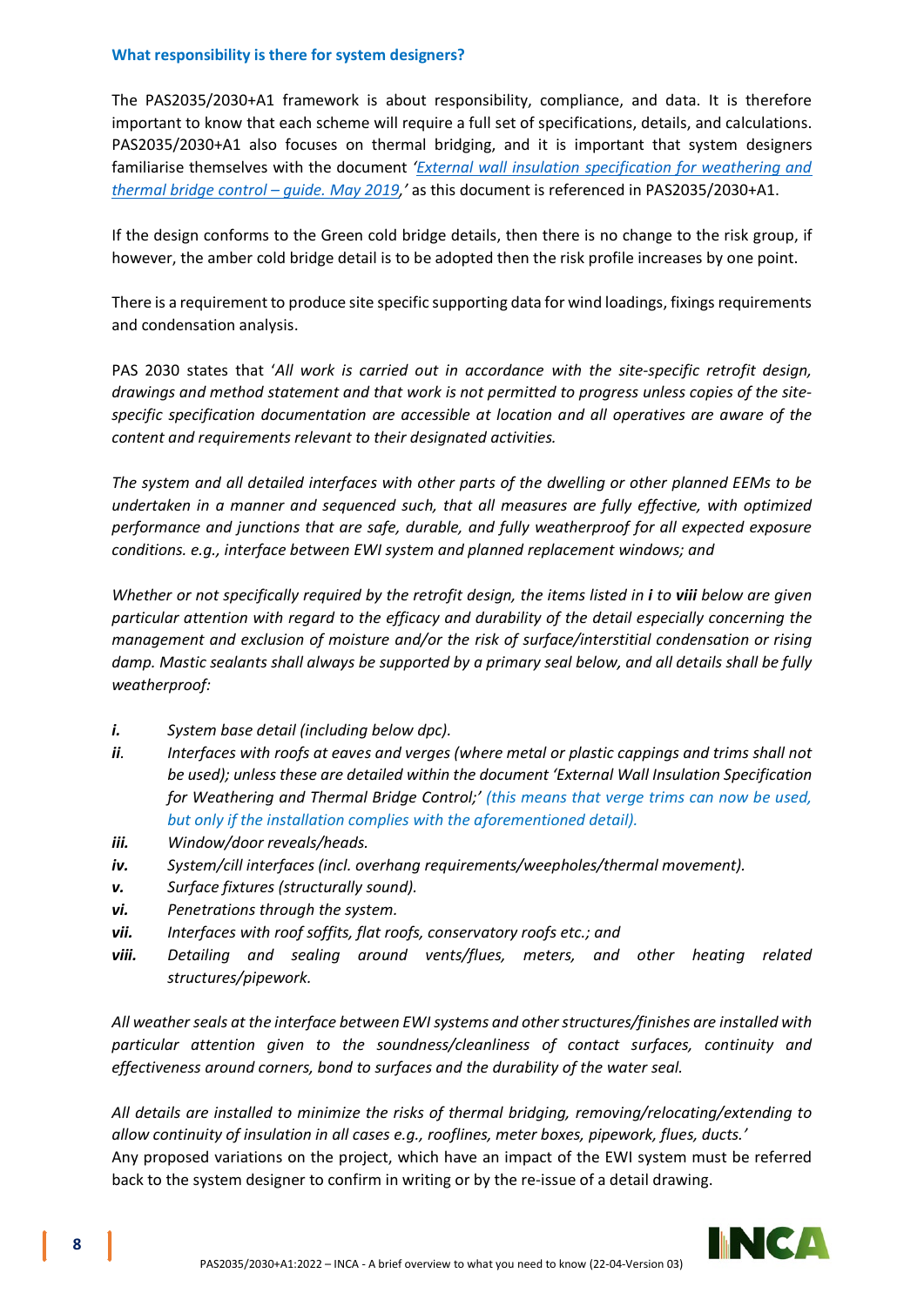# **What responsibility is there for system designers?**

The PAS2035/2030+A1 framework is about responsibility, compliance, and data. It is therefore important to know that each scheme will require a full set of specifications, details, and calculations. PAS2035/2030+A1 also focuses on thermal bridging, and it is important that system designers familiarise themselves with the document *['External wall insulation specification for weathering and](https://www.inca-ltd.org.uk/wp-content/uploads/2019/09/External-wall-insulation-specification-for-weathering-and-thermal-bridge....pdf)  [thermal bridge control – guide. May 2019,](https://www.inca-ltd.org.uk/wp-content/uploads/2019/09/External-wall-insulation-specification-for-weathering-and-thermal-bridge....pdf)'* as this document is referenced in PAS2035/2030+A1.

If the design conforms to the Green cold bridge details, then there is no change to the risk group, if however, the amber cold bridge detail is to be adopted then the risk profile increases by one point.

There is a requirement to produce site specific supporting data for wind loadings, fixings requirements and condensation analysis.

PAS 2030 states that '*All work is carried out in accordance with the site-specific retrofit design, drawings and method statement and that work is not permitted to progress unless copies of the sitespecific specification documentation are accessible at location and all operatives are aware of the content and requirements relevant to their designated activities.*

*The system and all detailed interfaces with other parts of the dwelling or other planned EEMs to be undertaken in a manner and sequenced such, that all measures are fully effective, with optimized performance and junctions that are safe, durable, and fully weatherproof for all expected exposure conditions. e.g., interface between EWI system and planned replacement windows; and*

*Whether or not specifically required by the retrofit design, the items listed in i to viii below are given particular attention with regard to the efficacy and durability of the detail especially concerning the management and exclusion of moisture and/or the risk of surface/interstitial condensation or rising damp. Mastic sealants shall always be supported by a primary seal below, and all details shall be fully weatherproof:*

- *i. System base detail (including below dpc).*
- *ii. Interfaces with roofs at eaves and verges (where metal or plastic cappings and trims shall not be used); unless these are detailed within the document 'External Wall Insulation Specification for Weathering and Thermal Bridge Control;' (this means that verge trims can now be used, but only if the installation complies with the aforementioned detail).*
- *iii. Window/door reveals/heads.*
- *iv. System/cill interfaces (incl. overhang requirements/weepholes/thermal movement).*
- *v. Surface fixtures (structurally sound).*
- *vi. Penetrations through the system.*
- *vii. Interfaces with roof soffits, flat roofs, conservatory roofs etc.; and*
- *viii. Detailing and sealing around vents/flues, meters, and other heating related structures/pipework.*

*All weather seals at the interface between EWI systems and other structures/finishes are installed with particular attention given to the soundness/cleanliness of contact surfaces, continuity and effectiveness around corners, bond to surfaces and the durability of the water seal.*

*All details are installed to minimize the risks of thermal bridging, removing/relocating/extending to allow continuity of insulation in all cases e.g., rooflines, meter boxes, pipework, flues, ducts.'*  Any proposed variations on the project, which have an impact of the EWI system must be referred back to the system designer to confirm in writing or by the re-issue of a detail drawing.